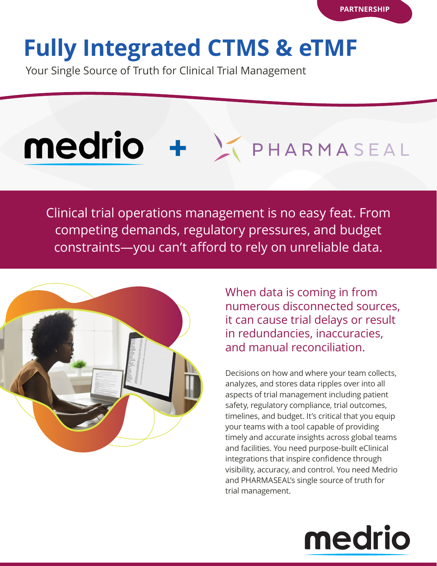# **Fully Integrated CTMS & eTMF**

Your Single Source of Truth for Clinical Trial Management

# Medrio + KPHARMASEAL

Clinical trial operations management is no easy feat. From competing demands, regulatory pressures, and budget constraints—you can't afford to rely on unreliable data.



When data is coming in from numerous disconnected sources, it can cause trial delays or result in redundancies, inaccuracies, and manual reconciliation.

Decisions on how and where your team collects, analyzes, and stores data ripples over into all aspects of trial management including patient safety, regulatory compliance, trial outcomes, timelines, and budget. It's critical that you equip your teams with a tool capable of providing timely and accurate insights across global teams and facilities. You need purpose-built eClinical integrations that inspire confidence through visibility, accuracy, and control. You need Medrio and PHARMASEAL's single source of truth for trial management.

# medrio